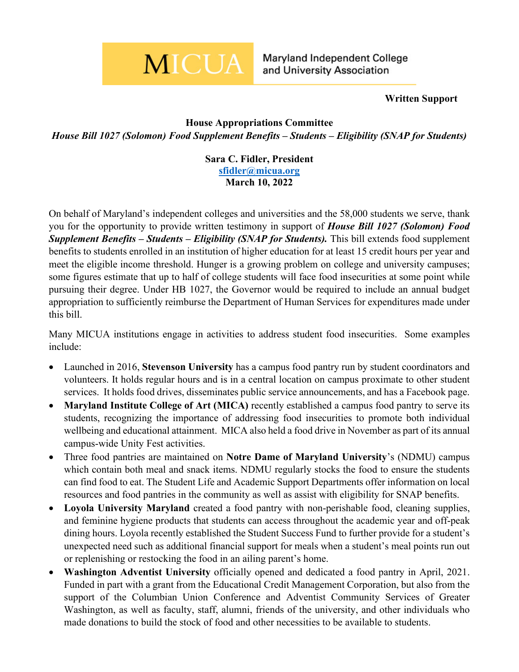## **MICUA**

Maryland Independent College and University Association

## **Written Support**

## **House Appropriations Committee** *House Bill 1027 (Solomon) Food Supplement Benefits – Students – Eligibility (SNAP for Students)*

**Sara C. Fidler, President [sfidler@micua.org](mailto:sfidler@micua.org) March 10, 2022**

On behalf of Maryland's independent colleges and universities and the 58,000 students we serve, thank you for the opportunity to provide written testimony in support of *House Bill 1027 (Solomon) Food Supplement Benefits – Students – Eligibility (SNAP for Students).* This bill extends food supplement benefits to students enrolled in an institution of higher education for at least 15 credit hours per year and meet the eligible income threshold. Hunger is a growing problem on college and university campuses; some figures estimate that up to half of college students will face food insecurities at some point while pursuing their degree. Under HB 1027, the Governor would be required to include an annual budget appropriation to sufficiently reimburse the Department of Human Services for expenditures made under this bill.

Many MICUA institutions engage in activities to address student food insecurities. Some examples include:

- Launched in 2016, **Stevenson University** has a campus food pantry run by student coordinators and volunteers. It holds regular hours and is in a central location on campus proximate to other student services. It holds food drives, disseminates public service announcements, and has a Facebook page.
- **Maryland Institute College of Art (MICA)** recently established a campus food pantry to serve its students, recognizing the importance of addressing food insecurities to promote both individual wellbeing and educational attainment. MICA also held a food drive in November as part of its annual campus-wide Unity Fest activities.
- Three food pantries are maintained on **Notre Dame of Maryland University**'s (NDMU) campus which contain both meal and snack items. NDMU regularly stocks the food to ensure the students can find food to eat. The Student Life and Academic Support Departments offer information on local resources and food pantries in the community as well as assist with eligibility for SNAP benefits.
- **Loyola University Maryland** created a food pantry with non-perishable food, cleaning supplies, and feminine hygiene products that students can access throughout the academic year and off-peak dining hours. Loyola recently established the Student Success Fund to further provide for a student's unexpected need such as additional financial support for meals when a student's meal points run out or replenishing or restocking the food in an ailing parent's home.
- **Washington Adventist University** officially opened and dedicated a food pantry in April, 2021. Funded in part with a grant from the Educational Credit Management Corporation, but also from the support of the Columbian Union Conference and Adventist Community Services of Greater Washington, as well as faculty, staff, alumni, friends of the university, and other individuals who made donations to build the stock of food and other necessities to be available to students.